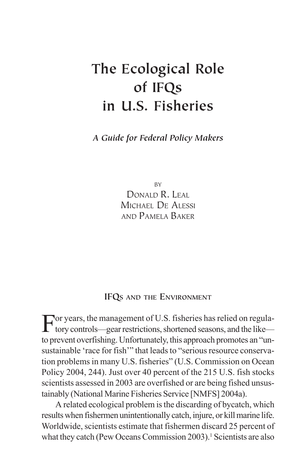# **The Ecological Role of IFQs in U.S. Fisheries**

*A Guide for Federal Policy Makers*

BY DONALD R. LEAL MICHAEL DE ALESSI AND PAMELA BAKER

# **IFQS AND THE ENVIRONMENT**

For years, the management of U.S. fisheries has relied on regula-tory controls—gear restrictions, shortened seasons, and the like to prevent overfishing. Unfortunately, this approach promotes an "unsustainable 'race for fish'" that leads to "serious resource conservation problems in many U.S. fisheries" (U.S. Commission on Ocean Policy 2004, 244). Just over 40 percent of the 215 U.S. fish stocks scientists assessed in 2003 are overfished or are being fished unsustainably (National Marine Fisheries Service [NMFS] 2004a).

A related ecological problem is the discarding of bycatch, which results when fishermen unintentionally catch, injure, or kill marine life. Worldwide, scientists estimate that fishermen discard 25 percent of what they catch (Pew Oceans Commission 2003).<sup>1</sup> Scientists are also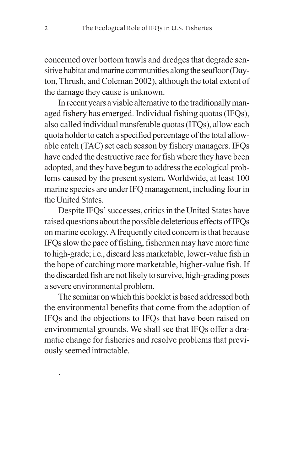concerned over bottom trawls and dredges that degrade sensitive habitat and marine communities along the seafloor (Dayton, Thrush, and Coleman 2002), although the total extent of the damage they cause is unknown.

In recent years a viable alternative to the traditionally managed fishery has emerged. Individual fishing quotas (IFQs), also called individual transferable quotas (ITQs), allow each quota holder to catch a specified percentage of the total allowable catch (TAC) set each season by fishery managers. IFQs have ended the destructive race for fish where they have been adopted, and they have begun to address the ecological problems caused by the present system**.** Worldwide, at least 100 marine species are under IFQ management, including four in the United States.

Despite IFQs' successes, critics in the United States have raised questions about the possible deleterious effects of IFQs on marine ecology. A frequently cited concern is that because IFQs slow the pace of fishing, fishermen may have more time to high-grade; i.e., discard less marketable, lower-value fish in the hope of catching more marketable, higher-value fish. If the discarded fish are not likely to survive, high-grading poses a severe environmental problem.

The seminar on which this booklet is based addressed both the environmental benefits that come from the adoption of IFQs and the objections to IFQs that have been raised on environmental grounds. We shall see that IFQs offer a dramatic change for fisheries and resolve problems that previously seemed intractable.

.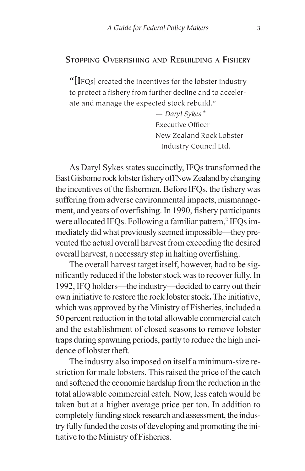#### **STOPPING OVERFISHING AND REBUILDING A FISHERY**

**"[I**FQs] created the incentives for the lobster industry to protect a fishery from further decline and to accelerate and manage the expected stock rebuild."

> — *Daryl Sykes\** Executive Officer New Zealand Rock Lobster Industry Council Ltd.

As Daryl Sykes states succinctly, IFQs transformed the East Gisborne rock lobster fishery off New Zealand by changing the incentives of the fishermen. Before IFQs, the fishery was suffering from adverse environmental impacts, mismanagement, and years of overfishing. In 1990, fishery participants were allocated IFQs. Following a familiar pattern,<sup>2</sup> IFQs immediately did what previously seemed impossible—they prevented the actual overall harvest from exceeding the desired overall harvest, a necessary step in halting overfishing.

The overall harvest target itself, however, had to be significantly reduced if the lobster stock was to recover fully. In 1992, IFQ holders—the industry—decided to carry out their own initiative to restore the rock lobster stock**.** The initiative, which was approved by the Ministry of Fisheries, included a 50 percent reduction in the total allowable commercial catch and the establishment of closed seasons to remove lobster traps during spawning periods, partly to reduce the high incidence of lobster theft.

The industry also imposed on itself a minimum-size restriction for male lobsters. This raised the price of the catch and softened the economic hardship from the reduction in the total allowable commercial catch. Now, less catch would be taken but at a higher average price per ton. In addition to completely funding stock research and assessment, the industry fully funded the costs of developing and promoting the initiative to the Ministry of Fisheries.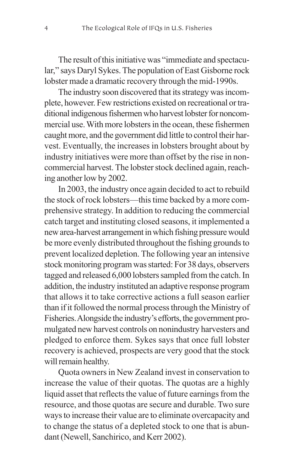The result of this initiative was "immediate and spectacular," says Daryl Sykes. The population of East Gisborne rock lobster made a dramatic recovery through the mid-1990s.

The industry soon discovered that its strategy was incomplete, however. Few restrictions existed on recreational or traditional indigenous fishermen who harvest lobster for noncommercial use. With more lobsters in the ocean, these fishermen caught more, and the government did little to control their harvest. Eventually, the increases in lobsters brought about by industry initiatives were more than offset by the rise in noncommercial harvest. The lobster stock declined again, reaching another low by 2002.

In 2003, the industry once again decided to act to rebuild the stock of rock lobsters—this time backed by a more comprehensive strategy. In addition to reducing the commercial catch target and instituting closed seasons, it implemented a new area-harvest arrangement in which fishing pressure would be more evenly distributed throughout the fishing grounds to prevent localized depletion. The following year an intensive stock monitoring program was started: For 38 days, observers tagged and released 6,000 lobsters sampled from the catch. In addition, the industry instituted an adaptive response program that allows it to take corrective actions a full season earlier than if it followed the normal process through the Ministry of Fisheries. Alongside the industry's efforts, the government promulgated new harvest controls on nonindustry harvesters and pledged to enforce them. Sykes says that once full lobster recovery is achieved, prospects are very good that the stock will remain healthy.

Quota owners in New Zealand invest in conservation to increase the value of their quotas. The quotas are a highly liquid asset that reflects the value of future earnings from the resource, and those quotas are secure and durable. Two sure ways to increase their value are to eliminate overcapacity and to change the status of a depleted stock to one that is abundant (Newell, Sanchirico, and Kerr 2002).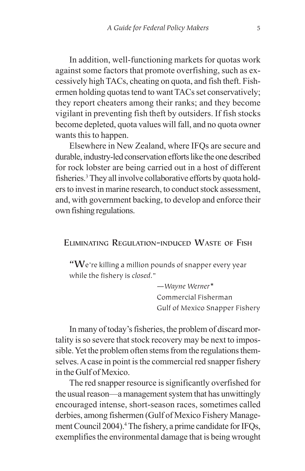In addition, well-functioning markets for quotas work against some factors that promote overfishing, such as excessively high TACs, cheating on quota, and fish theft. Fishermen holding quotas tend to want TACs set conservatively; they report cheaters among their ranks; and they become vigilant in preventing fish theft by outsiders. If fish stocks become depleted, quota values will fall, and no quota owner wants this to happen.

Elsewhere in New Zealand, where IFQs are secure and durable, industry-led conservation efforts like the one described for rock lobster are being carried out in a host of different fisheries.<sup>3</sup> They all involve collaborative efforts by quota holders to invest in marine research, to conduct stock assessment, and, with government backing, to develop and enforce their own fishing regulations.

## **ELIMINATING REGULATION-INDUCED WASTE OF FISH**

**"W**e're killing a million pounds of snapper every year while the fishery is *closed*."

> —*Wayne Werner*\* Commercial Fisherman Gulf of Mexico Snapper Fishery

In many of today's fisheries, the problem of discard mortality is so severe that stock recovery may be next to impossible. Yet the problem often stems from the regulations themselves. A case in point is the commercial red snapper fishery in the Gulf of Mexico.

The red snapper resource is significantly overfished for the usual reason—a management system that has unwittingly encouraged intense, short-season races, sometimes called derbies, among fishermen (Gulf of Mexico Fishery Management Council 2004).4 The fishery, a prime candidate for IFQs, exemplifies the environmental damage that is being wrought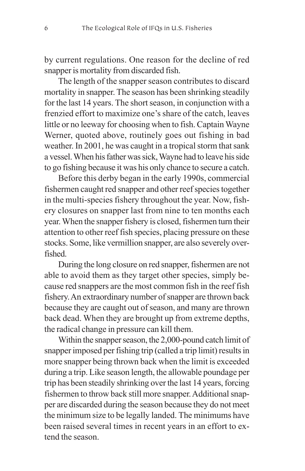by current regulations. One reason for the decline of red snapper is mortality from discarded fish.

The length of the snapper season contributes to discard mortality in snapper. The season has been shrinking steadily for the last 14 years. The short season, in conjunction with a frenzied effort to maximize one's share of the catch, leaves little or no leeway for choosing when to fish. Captain Wayne Werner, quoted above, routinely goes out fishing in bad weather. In 2001, he was caught in a tropical storm that sank a vessel. When his father was sick, Wayne had to leave his side to go fishing because it was his only chance to secure a catch.

Before this derby began in the early 1990s, commercial fishermen caught red snapper and other reef species together in the multi-species fishery throughout the year. Now, fishery closures on snapper last from nine to ten months each year. When the snapper fishery is closed, fishermen turn their attention to other reef fish species, placing pressure on these stocks. Some, like vermillion snapper, are also severely overfished.

During the long closure on red snapper, fishermen are not able to avoid them as they target other species, simply because red snappers are the most common fish in the reef fish fishery. An extraordinary number of snapper are thrown back because they are caught out of season, and many are thrown back dead. When they are brought up from extreme depths, the radical change in pressure can kill them.

Within the snapper season, the 2,000-pound catch limit of snapper imposed per fishing trip (called a trip limit) results in more snapper being thrown back when the limit is exceeded during a trip. Like season length, the allowable poundage per trip has been steadily shrinking over the last 14 years, forcing fishermen to throw back still more snapper. Additional snapper are discarded during the season because they do not meet the minimum size to be legally landed. The minimums have been raised several times in recent years in an effort to extend the season.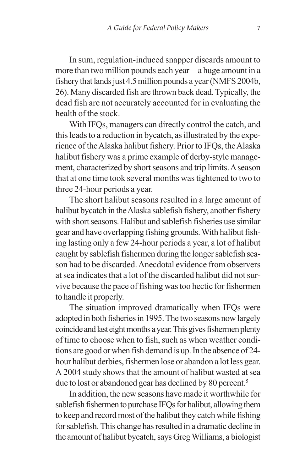In sum, regulation-induced snapper discards amount to more than two million pounds each year—a huge amount in a fishery that lands just 4.5 million pounds a year (NMFS 2004b, 26). Many discarded fish are thrown back dead. Typically, the dead fish are not accurately accounted for in evaluating the health of the stock.

With IFQs, managers can directly control the catch, and this leads to a reduction in bycatch, as illustrated by the experience of the Alaska halibut fishery. Prior to IFQs, the Alaska halibut fishery was a prime example of derby-style management, characterized by short seasons and trip limits. A season that at one time took several months was tightened to two to three 24-hour periods a year.

The short halibut seasons resulted in a large amount of halibut bycatch in the Alaska sablefish fishery, another fishery with short seasons. Halibut and sablefish fisheries use similar gear and have overlapping fishing grounds. With halibut fishing lasting only a few 24-hour periods a year, a lot of halibut caught by sablefish fishermen during the longer sablefish season had to be discarded. Anecdotal evidence from observers at sea indicates that a lot of the discarded halibut did not survive because the pace of fishing was too hectic for fishermen to handle it properly.

The situation improved dramatically when IFQs were adopted in both fisheries in 1995. The two seasons now largely coincide and last eight months a year. This gives fishermen plenty of time to choose when to fish, such as when weather conditions are good or when fish demand is up. In the absence of 24 hour halibut derbies, fishermen lose or abandon a lot less gear. A 2004 study shows that the amount of halibut wasted at sea due to lost or abandoned gear has declined by 80 percent.<sup>5</sup>

In addition, the new seasons have made it worthwhile for sablefish fishermen to purchase IFQs for halibut, allowing them to keep and record most of the halibut they catch while fishing for sablefish. This change has resulted in a dramatic decline in the amount of halibut bycatch, says Greg Williams, a biologist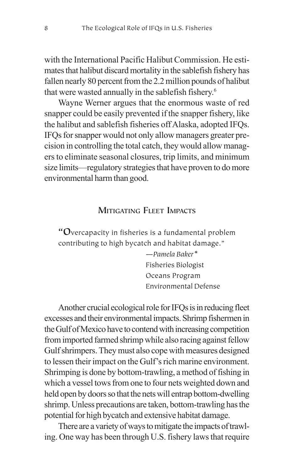with the International Pacific Halibut Commission. He estimates that halibut discard mortality in the sablefish fishery has fallen nearly 80 percent from the 2.2 million pounds of halibut that were wasted annually in the sablefish fishery.6

Wayne Werner argues that the enormous waste of red snapper could be easily prevented if the snapper fishery, like the halibut and sablefish fisheries off Alaska, adopted IFQs. IFQs for snapper would not only allow managers greater precision in controlling the total catch, they would allow managers to eliminate seasonal closures, trip limits, and minimum size limits—regulatory strategies that have proven to do more environmental harm than good.

## **MITIGATING FLEET IMPACTS**

**"O**vercapacity in fisheries is a fundamental problem contributing to high bycatch and habitat damage."

> —*Pamela Baker\** Fisheries Biologist Oceans Program Environmental Defense

Another crucial ecological role for IFQs is in reducing fleet excesses and their environmental impacts. Shrimp fishermen in the Gulf of Mexico have to contend with increasing competition from imported farmed shrimp while also racing against fellow Gulf shrimpers. They must also cope with measures designed to lessen their impact on the Gulf's rich marine environment. Shrimping is done by bottom-trawling, a method of fishing in which a vessel tows from one to four nets weighted down and held open by doors so that the nets will entrap bottom-dwelling shrimp. Unless precautions are taken, bottom-trawling has the potential for high bycatch and extensive habitat damage.

There are a variety of ways to mitigate the impacts of trawling. One way has been through U.S. fishery laws that require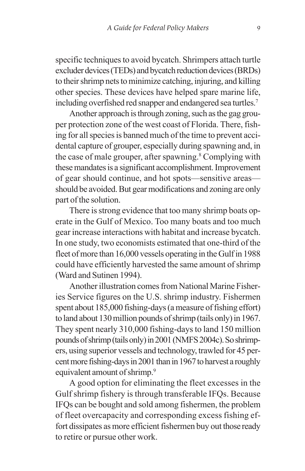specific techniques to avoid bycatch. Shrimpers attach turtle excluder devices (TEDs) and bycatch reduction devices (BRDs) to their shrimp nets to minimize catching, injuring, and killing other species. These devices have helped spare marine life, including overfished red snapper and endangered sea turtles.7

Another approach is through zoning, such as the gag grouper protection zone of the west coast of Florida. There, fishing for all species is banned much of the time to prevent accidental capture of grouper, especially during spawning and, in the case of male grouper, after spawning.<sup>8</sup> Complying with these mandates is a significant accomplishment. Improvement of gear should continue, and hot spots—sensitive areas should be avoided. But gear modifications and zoning are only part of the solution.

There is strong evidence that too many shrimp boats operate in the Gulf of Mexico. Too many boats and too much gear increase interactions with habitat and increase bycatch. In one study, two economists estimated that one-third of the fleet of more than 16,000 vessels operating in the Gulf in 1988 could have efficiently harvested the same amount of shrimp (Ward and Sutinen 1994).

Another illustration comes from National Marine Fisheries Service figures on the U.S. shrimp industry. Fishermen spent about 185,000 fishing-days (a measure of fishing effort) to land about 130 million pounds of shrimp (tails only) in 1967. They spent nearly 310,000 fishing-days to land 150 million pounds of shrimp (tails only) in 2001 (NMFS 2004c). So shrimpers, using superior vessels and technology, trawled for 45 percent more fishing-days in 2001 than in 1967 to harvest a roughly equivalent amount of shrimp.<sup>9</sup>

A good option for eliminating the fleet excesses in the Gulf shrimp fishery is through transferable IFQs. Because IFQs can be bought and sold among fishermen, the problem of fleet overcapacity and corresponding excess fishing effort dissipates as more efficient fishermen buy out those ready to retire or pursue other work.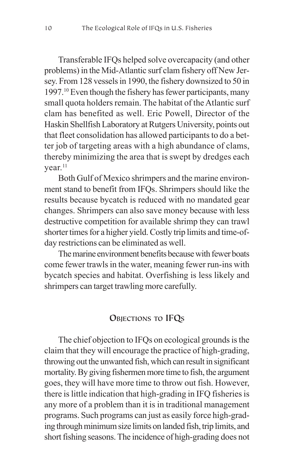Transferable IFQs helped solve overcapacity (and other problems) in the Mid-Atlantic surf clam fishery off New Jersey. From 128 vessels in 1990, the fishery downsized to 50 in 1997.10 Even though the fishery has fewer participants, many small quota holders remain. The habitat of the Atlantic surf clam has benefited as well. Eric Powell, Director of the Haskin Shellfish Laboratory at Rutgers University, points out that fleet consolidation has allowed participants to do a better job of targeting areas with a high abundance of clams, thereby minimizing the area that is swept by dredges each vear.<sup>11</sup>

Both Gulf of Mexico shrimpers and the marine environment stand to benefit from IFQs. Shrimpers should like the results because bycatch is reduced with no mandated gear changes. Shrimpers can also save money because with less destructive competition for available shrimp they can trawl shorter times for a higher yield. Costly trip limits and time-ofday restrictions can be eliminated as well.

The marine environment benefits because with fewer boats come fewer trawls in the water, meaning fewer run-ins with bycatch species and habitat. Overfishing is less likely and shrimpers can target trawling more carefully.

# **OBJECTIONS TO IFQS**

The chief objection to IFQs on ecological grounds is the claim that they will encourage the practice of high-grading, throwing out the unwanted fish, which can result in significant mortality. By giving fishermen more time to fish, the argument goes, they will have more time to throw out fish. However, there is little indication that high-grading in IFQ fisheries is any more of a problem than it is in traditional management programs. Such programs can just as easily force high-grading through minimum size limits on landed fish, trip limits, and short fishing seasons. The incidence of high-grading does not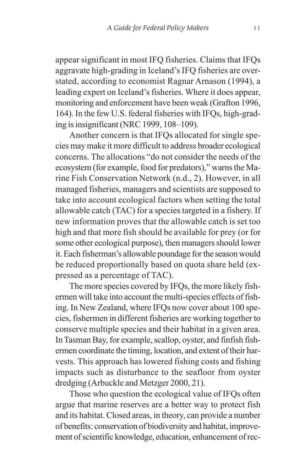appear significant in most IFQ fisheries. Claims that IFQs aggravate high-grading in Iceland's IFQ fisheries are overstated, according to economist Ragnar Arnason (1994), a leading expert on Iceland's fisheries. Where it does appear, monitoring and enforcement have been weak (Grafton 1996, 164). In the few U.S. federal fisheries with IFQs, high-grading is insignificant (NRC 1999, 108–109).

Another concern is that IFQs allocated for single species may make it more difficult to address broader ecological concerns. The allocations "do not consider the needs of the ecosystem (for example, food for predators)," warns the Marine Fish Conservation Network (n.d., 2). However, in all managed fisheries, managers and scientists are supposed to take into account ecological factors when setting the total allowable catch (TAC) for a species targeted in a fishery. If new information proves that the allowable catch is set too high and that more fish should be available for prey (or for some other ecological purpose), then managers should lower it. Each fisherman's allowable poundage for the season would be reduced proportionally based on quota share held (expressed as a percentage of TAC).

The more species covered by IFQs, the more likely fishermen will take into account the multi-species effects of fishing. In New Zealand, where IFQs now cover about 100 species, fishermen in different fisheries are working together to conserve multiple species and their habitat in a given area. In Tasman Bay, for example, scallop, oyster, and finfish fishermen coordinate the timing, location, and extent of their harvests. This approach has lowered fishing costs and fishing impacts such as disturbance to the seafloor from oyster dredging (Arbuckle and Metzger 2000, 21).

Those who question the ecological value of IFQs often argue that marine reserves are a better way to protect fish and its habitat. Closed areas, in theory, can provide a number of benefits: conservation of biodiversity and habitat, improvement of scientific knowledge, education, enhancement of rec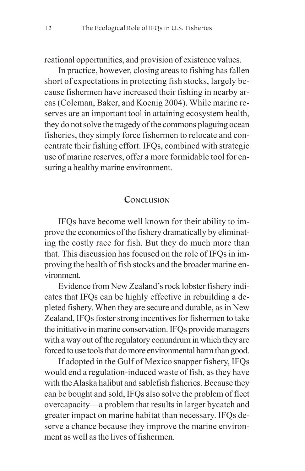reational opportunities, and provision of existence values.

In practice, however, closing areas to fishing has fallen short of expectations in protecting fish stocks, largely because fishermen have increased their fishing in nearby areas (Coleman, Baker, and Koenig 2004). While marine reserves are an important tool in attaining ecosystem health, they do not solve the tragedy of the commons plaguing ocean fisheries, they simply force fishermen to relocate and concentrate their fishing effort. IFQs, combined with strategic use of marine reserves, offer a more formidable tool for ensuring a healthy marine environment.

## **CONCLUSION**

IFQs have become well known for their ability to improve the economics of the fishery dramatically by eliminating the costly race for fish. But they do much more than that. This discussion has focused on the role of IFQs in improving the health of fish stocks and the broader marine environment.

Evidence from New Zealand's rock lobster fishery indicates that IFQs can be highly effective in rebuilding a depleted fishery. When they are secure and durable, as in New Zealand, IFQs foster strong incentives for fishermen to take the initiative in marine conservation. IFQs provide managers with a way out of the regulatory conundrum in which they are forced to use tools that do more environmental harm than good.

If adopted in the Gulf of Mexico snapper fishery, IFQs would end a regulation-induced waste of fish, as they have with the Alaska halibut and sablefish fisheries. Because they can be bought and sold, IFQs also solve the problem of fleet overcapacity—a problem that results in larger bycatch and greater impact on marine habitat than necessary. IFQs deserve a chance because they improve the marine environment as well as the lives of fishermen.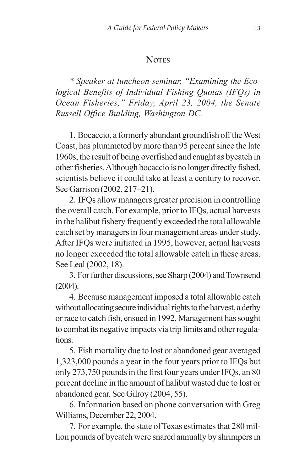## **NOTES**

*\* Speaker at luncheon seminar, "Examining the Ecological Benefits of Individual Fishing Quotas (IFQs) in Ocean Fisheries," Friday, April 23, 2004, the Senate Russell Office Building, Washington DC.*

1. Bocaccio, a formerly abundant groundfish off the West Coast, has plummeted by more than 95 percent since the late 1960s, the result of being overfished and caught as bycatch in other fisheries. Although bocaccio is no longer directly fished, scientists believe it could take at least a century to recover. See Garrison (2002, 217–21).

2. IFQs allow managers greater precision in controlling the overall catch. For example, prior to IFQs, actual harvests in the halibut fishery frequently exceeded the total allowable catch set by managers in four management areas under study. After IFQs were initiated in 1995, however, actual harvests no longer exceeded the total allowable catch in these areas. See Leal (2002, 18).

3. For further discussions, see Sharp (2004) and Townsend (2004).

4. Because management imposed a total allowable catch without allocating secure individual rights to the harvest, a derby or race to catch fish, ensued in 1992. Management has sought to combat its negative impacts via trip limits and other regulations.

5. Fish mortality due to lost or abandoned gear averaged 1,323,000 pounds a year in the four years prior to IFQs but only 273,750 pounds in the first four years under IFQs, an 80 percent decline in the amount of halibut wasted due to lost or abandoned gear. See Gilroy (2004, 55).

6. Information based on phone conversation with Greg Williams, December 22, 2004.

7. For example, the state of Texas estimates that 280 million pounds of bycatch were snared annually by shrimpers in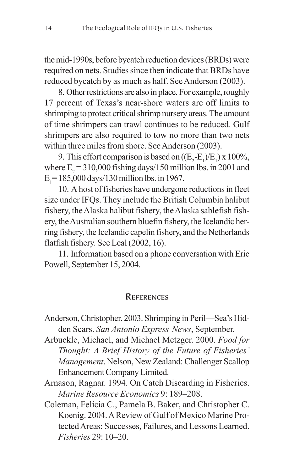the mid-1990s, before bycatch reduction devices (BRDs) were required on nets. Studies since then indicate that BRDs have reduced bycatch by as much as half. See Anderson (2003).

8. Other restrictions are also in place. For example, roughly 17 percent of Texas's near-shore waters are off limits to shrimping to protect critical shrimp nursery areas. The amount of time shrimpers can trawl continues to be reduced. Gulf shrimpers are also required to tow no more than two nets within three miles from shore. See Anderson (2003).

9. This effort comparison is based on  $((E_2-E_1/E_1) \times 100\%,$ where  $E_2$  = 310,000 fishing days/150 million lbs. in 2001 and  $E_1$  = 185,000 days/130 million lbs. in 1967.

10. A host of fisheries have undergone reductions in fleet size under IFQs. They include the British Columbia halibut fishery, the Alaska halibut fishery, the Alaska sablefish fishery, the Australian southern bluefin fishery, the Icelandic herring fishery, the Icelandic capelin fishery, and the Netherlands flatfish fishery. See Leal (2002, 16).

11. Information based on a phone conversation with Eric Powell, September 15, 2004.

#### **REFERENCES**

- Anderson, Christopher. 2003. Shrimping in Peril—Sea's Hidden Scars. *San Antonio Express-News*, September.
- Arbuckle, Michael, and Michael Metzger. 2000. *Food for Thought: A Brief History of the Future of Fisheries' Management*. Nelson, New Zealand: Challenger Scallop Enhancement Company Limited.
- Arnason, Ragnar. 1994. On Catch Discarding in Fisheries. *Marine Resource Economics* 9: 189–208.
- Coleman, Felicia C., Pamela B. Baker, and Christopher C. Koenig. 2004. A Review of Gulf of Mexico Marine Protected Areas: Successes, Failures, and Lessons Learned. *Fisheries* 29: 10–20.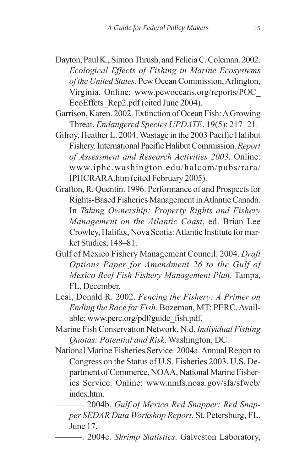- Dayton, Paul K., Simon Thrush, and Felicia C. Coleman. 2002. *Ecological Effects of Fishing in Marine Ecosystems of the United States*. Pew Ocean Commission, Arlington, Virginia. Online: www.pewoceans.org/reports/POC\_ EcoEffcts Rep2.pdf (cited June 2004).
- Garrison, Karen. 2002. Extinction of Ocean Fish: A Growing Threat. *Endangered Species UPDATE*. 19(5): 217–21.
- Gilroy, Heather L. 2004. Wastage in the 2003 Pacific Halibut Fishery. International Pacific Halibut Commission. *Report of Assessment and Research Activities 2003*. Online: www.iphc.washington.edu/halcom/pubs/rara/ IPHCRARA.htm (cited February 2005).
- Grafton, R. Quentin. 1996. Performance of and Prospects for Rights-Based Fisheries Management in Atlantic Canada. In *Taking Ownership: Property Rights and Fishery Management on the Atlantic Coast*, ed. Brian Lee Crowley, Halifax, Nova Scotia: Atlantic Institute for market Studies, 148–81.
- Gulf of Mexico Fishery Management Council. 2004. *Draft Options Paper for Amendment 26 to the Gulf of Mexico Reef Fish Fishery Management Plan*. Tampa, FL, December.
- Leal, Donald R. 2002. *Fencing the Fishery: A Primer on Ending the Race for Fish*. Bozeman, MT: PERC. Available: www.perc.org/pdf/guide\_fish.pdf.
- Marine Fish Conservation Network. N.d. *Individual Fishing Quotas: Potential and Risk*. Washington, DC.
- National Marine Fisheries Service. 2004a. Annual Report to Congress on the Status of U.S. Fisheries 2003. U.S. Department of Commerce, NOAA, National Marine Fisheries Service. Online: www.nmfs.noaa.gov/sfa/sfweb/ index.htm.
	- ———. 2004b. *Gulf of Mexico Red Snapper: Red Snapper SEDAR Data Workshop Report*. St. Petersburg, FL, June 17.
		- ———. 2004c. *Shrimp Statistics*. Galveston Laboratory,